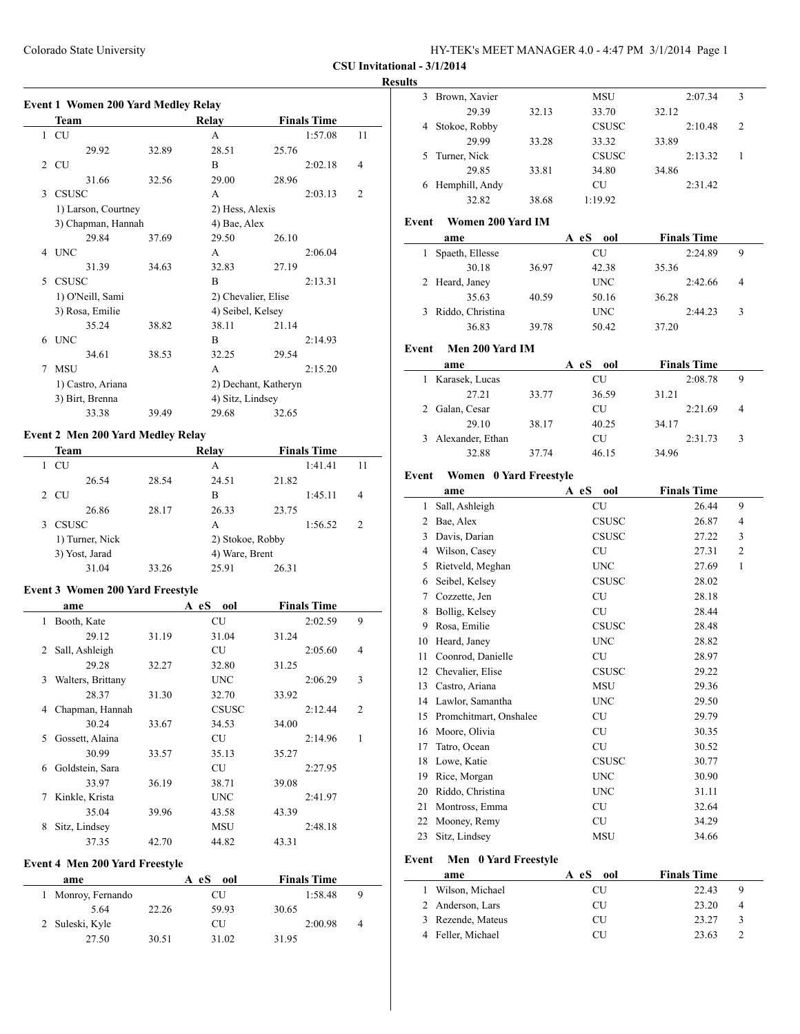# **Results**

|   | <b>Event 1 Women 200 Yard Medley Relay</b> |       |                      |                   |                    |                |
|---|--------------------------------------------|-------|----------------------|-------------------|--------------------|----------------|
|   | Team                                       |       | Relay                |                   | <b>Finals Time</b> |                |
|   | 1 CU                                       |       | A                    |                   | 1:57.08            | 11             |
|   | 29.92                                      | 32.89 | 28.51                | 25.76             |                    |                |
| 2 | <b>CU</b>                                  |       | B                    |                   | 2:02.18            | 4              |
|   | 31.66                                      | 32.56 | 29.00                | 28.96             |                    |                |
| 3 | <b>CSUSC</b>                               |       | A                    |                   | 2:03.13            | $\overline{2}$ |
|   | 1) Larson, Courtney                        |       | 2) Hess, Alexis      |                   |                    |                |
|   | 3) Chapman, Hannah                         |       | 4) Bae, Alex         |                   |                    |                |
|   | 29.84                                      | 37.69 | 29.50                | 26.10             |                    |                |
| 4 | <b>INC</b>                                 |       | A                    |                   | 2:06.04            |                |
|   | 31.39                                      | 34.63 | 32.83                | 27.19             |                    |                |
| 5 | <b>CSUSC</b>                               |       | B                    |                   | 2:13.31            |                |
|   | 1) O'Neill, Sami                           |       | 2) Chevalier, Elise  |                   |                    |                |
|   | 3) Rosa, Emilie                            |       |                      | 4) Seibel, Kelsey |                    |                |
|   | 35.24                                      | 38.82 | 38.11                | 21.14             |                    |                |
| 6 | <b>UNC</b>                                 |       | B                    |                   | 2:14.93            |                |
|   | 34.61                                      | 38.53 | 32.25                | 29.54             |                    |                |
| 7 | <b>MSU</b>                                 |       | A                    |                   | 2:15.20            |                |
|   | 1) Castro, Ariana                          |       | 2) Dechant, Katheryn |                   |                    |                |
|   | 3) Birt, Brenna                            |       | 4) Sitz, Lindsey     |                   |                    |                |
|   | 33.38                                      | 39.49 | 29.68                | 32.65             |                    |                |

# **Event 2 Men 200 Yard Medley Relay**

 $\overline{a}$ 

|    | Team         |                 |       | Relay            |       | <b>Finals Time</b> |    |
|----|--------------|-----------------|-------|------------------|-------|--------------------|----|
|    | CU           |                 |       | A                |       | 1:41.41            | 11 |
|    |              | 26.54           | 28.54 | 24.51            | 21.82 |                    |    |
| 2. | <b>CU</b>    |                 |       | в                |       | 1:45.11            | 4  |
|    |              | 26.86           | 28.17 | 26.33            | 23.75 |                    |    |
|    | <b>CSUSC</b> |                 |       | A                |       | 1:56.52            | 2  |
|    |              | 1) Turner, Nick |       | 2) Stokoe, Robby |       |                    |    |
|    |              | 3) Yost, Jarad  |       | 4) Ware, Brent   |       |                    |    |
|    |              | 31.04           | 33.26 | 25.91            | 26.31 |                    |    |

# **Event 3 Women 200 Yard Freestyle**

|   | ame               |       | A eS<br>ool | <b>Finals Time</b> |   |
|---|-------------------|-------|-------------|--------------------|---|
| 1 | Booth, Kate       |       | <b>CU</b>   | 2:02.59            | 9 |
|   | 29.12             | 31.19 | 31.04       | 31.24              |   |
| 2 | Sall, Ashleigh    |       | CU          | 2:05.60            | 4 |
|   | 29.28             | 32.27 | 32.80       | 31.25              |   |
| 3 | Walters, Brittany |       | <b>UNC</b>  | 2:06.29            | 3 |
|   | 28.37             | 31.30 | 32.70       | 33.92              |   |
| 4 | Chapman, Hannah   |       | CSUSC       | 2:12.44            | 2 |
|   | 30.24             | 33.67 | 34.53       | 34.00              |   |
| 5 | Gossett, Alaina   |       | <b>CU</b>   | 2:14.96            | 1 |
|   | 30.99             | 33.57 | 35.13       | 35.27              |   |
| 6 | Goldstein, Sara   |       | CU          | 2:27.95            |   |
|   | 33.97             | 36.19 | 38.71       | 39.08              |   |
| 7 | Kinkle, Krista    |       | <b>UNC</b>  | 2:41.97            |   |
|   | 35.04             | 39.96 | 43.58       | 43.39              |   |
| 8 | Sitz, Lindsey     |       | MSU         | 2:48.18            |   |
|   | 37.35             | 42.70 | 44.82       | 43.31              |   |

## **Event 4 Men 200 Yard Freestyle**

| ame                |       | A eS<br>ool | <b>Finals Time</b> |   |
|--------------------|-------|-------------|--------------------|---|
| 1 Monroy, Fernando |       | CU          | 1:58.48            | 9 |
| 5.64               | 22.26 | 59.93       | 30.65              |   |
| 2 Suleski, Kyle    |       | CU          | 2:00.98            | 4 |
| 27.50              | 30.51 | 31.02       | 31.95              |   |

| 3     | Brown, Xavier          |       |           | MSU          |       | 2:07.34            | 3              |
|-------|------------------------|-------|-----------|--------------|-------|--------------------|----------------|
|       | 29.39                  | 32.13 |           | 33.70        | 32.12 |                    |                |
| 4     | Stokoe, Robby          |       |           | CSUSC        |       | 2:10.48            | 2              |
|       | 29.99                  | 33.28 |           | 33.32        | 33.89 |                    |                |
| 5     | Turner, Nick           |       |           | CSUSC        |       | 2:13.32            | 1              |
|       | 29.85                  | 33.81 |           | 34.80        | 34.86 |                    |                |
|       | 6 Hemphill, Andy       |       | <b>CU</b> |              |       | 2:31.42            |                |
|       | 32.82                  | 38.68 | 1:19.92   |              |       |                    |                |
|       |                        |       |           |              |       |                    |                |
| Event | Women 200 Yard IM      |       |           |              |       |                    |                |
|       | ame                    |       | A eS ool  |              |       | <b>Finals Time</b> |                |
| 1     | Spaeth, Ellesse        |       | CU        |              |       | 2:24.89            | 9              |
|       | 30.18                  | 36.97 |           | 42.38        | 35.36 |                    |                |
| 2     | Heard, Janey           |       |           | <b>UNC</b>   |       | 2:42.66            | 4              |
|       | 35.63                  | 40.59 |           | 50.16        | 36.28 |                    |                |
| 3     | Riddo, Christina       |       |           | <b>UNC</b>   |       | 2:44.23            | 3              |
|       | 36.83                  | 39.78 |           | 50.42        | 37.20 |                    |                |
|       |                        |       |           |              |       |                    |                |
| Event | Men 200 Yard IM        |       |           |              |       |                    |                |
|       | ame                    |       | A eS      | ool          |       | <b>Finals Time</b> |                |
| 1     | Karasek, Lucas         |       | CU        |              |       | 2:08.78            | 9              |
|       | 27.21                  | 33.77 |           | 36.59        | 31.21 |                    |                |
| 2     | Galan, Cesar           |       | CU        |              |       | 2:21.69            | 4              |
|       | 29.10                  | 38.17 |           | 40.25        | 34.17 |                    |                |
| 3     | Alexander, Ethan       |       | CU        |              |       | 2:31.73            | 3              |
|       | 32.88                  | 37.74 |           | 46.15        | 34.96 |                    |                |
| Event | Women 0 Yard Freestyle |       |           |              |       |                    |                |
|       | ame                    |       | A eS      | ool          |       | <b>Finals Time</b> |                |
| 1     | Sall, Ashleigh         |       |           | CU           |       | 26.44              | 9              |
| 2     | Bae, Alex              |       |           | <b>CSUSC</b> |       | 26.87              | 4              |
| 3     | Davis, Darian          |       |           | <b>CSUSC</b> |       | 27.22              | 3              |
|       |                        |       |           |              |       |                    |                |
| 4     | Wilson, Casey          |       | <b>CU</b> |              |       | 27.31              | $\overline{c}$ |
| 5     | Rietveld, Meghan       |       |           | <b>UNC</b>   |       | 27.69              | 1              |
| 6     | Seibel, Kelsey         |       |           | CSUSC        |       | 28.02              |                |
| 7     | Cozzette, Jen          |       | <b>CU</b> |              |       | 28.18              |                |
| 8     | Bollig, Kelsey         |       | CU        |              |       | 28.44              |                |
| 9.    | Rosa, Emilie           |       |           | <b>CSUSC</b> |       | 28.48              |                |
|       | 10 Heard, Janey        |       |           | <b>UNC</b>   |       | 28.82              |                |
| 11    | Coonrod, Danielle      |       | CU        |              |       | 28.97              |                |
| 12    | Chevalier, Elise       |       |           | <b>CSUSC</b> |       | 29.22              |                |
| 13    | Castro, Ariana         |       |           | MSU          |       | 29.36              |                |
| 14    | Lawlor, Samantha       |       |           | <b>UNC</b>   |       | 29.50              |                |
| 15    | Promchitmart, Onshalee |       | CU        |              |       | 29.79              |                |
| 16    | Moore, Olivia          |       | CU        |              |       | 30.35              |                |
| 17    | Tatro, Ocean           |       | <b>CU</b> |              |       | 30.52              |                |
| 18    | Lowe, Katie            |       |           | <b>CSUSC</b> |       | 30.77              |                |
| 19    | Rice, Morgan           |       |           | UNC          |       | 30.90              |                |
| 20    | Riddo, Christina       |       |           | <b>UNC</b>   |       | 31.11              |                |
| 21    | Montross, Emma         |       |           | CU           |       | 32.64              |                |
| 22    | Mooney, Remy           |       | CU        |              |       | 34.29              |                |
| 23    | Sitz, Lindsey          |       |           |              |       |                    |                |
|       |                        |       |           | MSU          |       | 34.66              |                |
| Event | Men 0 Yard Freestyle   |       |           |              |       |                    |                |
|       | ame                    |       | A eS      | ool          |       | <b>Finals Time</b> |                |
| 1     | Wilson, Michael        |       |           | CU           |       | 22.43              | 9              |
| 2     |                        |       |           |              |       |                    |                |
|       | Anderson, Lars         |       | CU        |              |       | 23.20              | 4              |
| 3     | Rezende, Mateus        |       | CU        |              |       | 23.27              | 3              |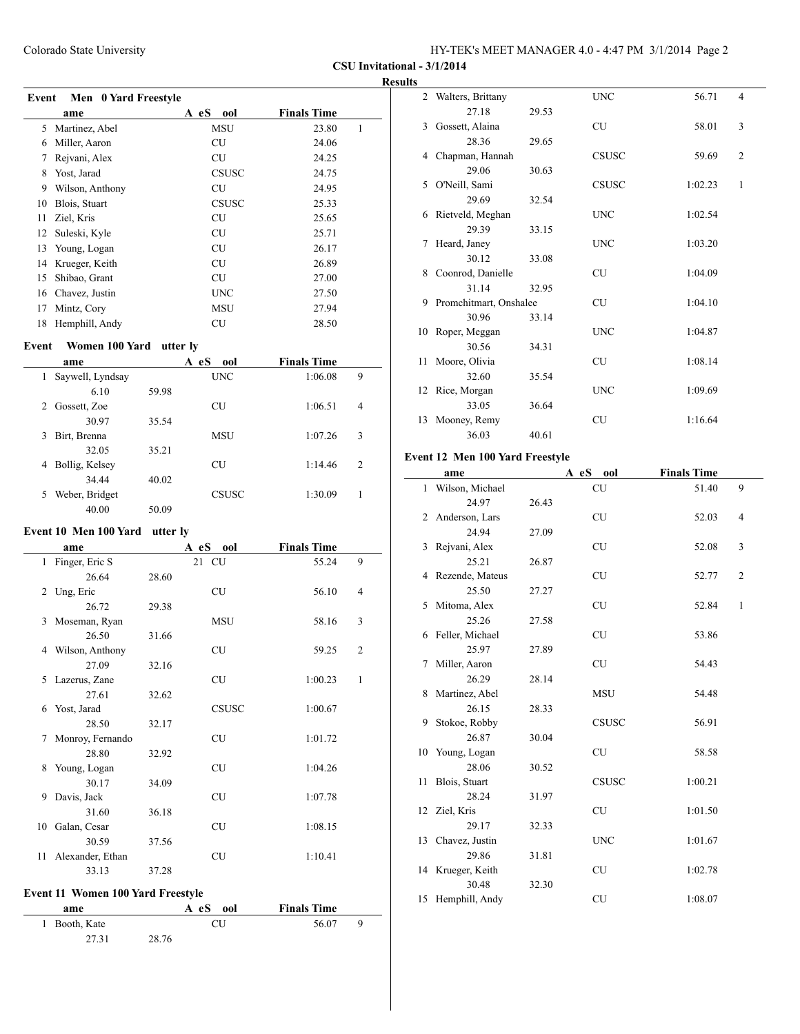| HY-TEK's MEET MANAGER 4.0 - 4:47 PM 3/1/2014 Page 2 |  |
|-----------------------------------------------------|--|
|-----------------------------------------------------|--|

**CSU Invitational - 3/1/2014**

|       |                      |              |                    | <b>Results</b> |
|-------|----------------------|--------------|--------------------|----------------|
| Event | Men 0 Yard Freestyle |              |                    |                |
|       | ame                  | A eS<br>ool  | <b>Finals Time</b> |                |
| 5     | Martinez, Abel       | MSU          | 23.80              | 1              |
| 6     | Miller, Aaron        | <b>CU</b>    | 24.06              |                |
| 7     | Rejvani, Alex        | CU           | 24.25              |                |
| 8     | Yost, Jarad          | <b>CSUSC</b> | 24.75              |                |
| 9     | Wilson, Anthony      | CU           | 24.95              |                |
| 10    | Blois, Stuart        | <b>CSUSC</b> | 25.33              |                |
| 11    | Ziel, Kris           | <b>CU</b>    | 25.65              |                |
| 12    | Suleski, Kyle        | CU           | 25.71              |                |
| 13    | Young, Logan         | CU           | 26.17              |                |
| 14    | Krueger, Keith       | <b>CU</b>    | 26.89              |                |
| 15    | Shibao, Grant        | CU           | 27.00              |                |
| 16    | Chavez, Justin       | <b>UNC</b>   | 27.50              |                |
| 17    | Mintz, Cory          | MSU          | 27.94              |                |
| 18    | Hemphill, Andy       | CU           | 28.50              | 1.             |

# **Event** Women 100 Yard utter ly

|    | ame              |       | ool<br>A eS  | <b>Finals Time</b> |                |
|----|------------------|-------|--------------|--------------------|----------------|
| 1  | Saywell, Lyndsay |       | <b>UNC</b>   | 1:06.08            | 9              |
|    | 6.10             | 59.98 |              |                    |                |
| 2  | Gossett, Zoe     |       | CU           | 1:06.51            | $\overline{4}$ |
|    | 30.97            | 35.54 |              |                    |                |
| 3  | Birt, Brenna     |       | <b>MSU</b>   | 1:07.26            | 3              |
|    | 32.05            | 35.21 |              |                    |                |
| 4  | Bollig, Kelsey   |       | CU           | 1:14.46            | 2              |
|    | 34 44            | 40.02 |              |                    |                |
| 5. | Weber, Bridget   |       | <b>CSUSC</b> | 1:30.09            |                |
|    | 40.00            | 50.09 |              |                    |                |

# **Event 10 Men 100 Yard utter ly**

|              | ame               |       | A eS  | ool          | <b>Finals Time</b> |                |
|--------------|-------------------|-------|-------|--------------|--------------------|----------------|
| $\mathbf{1}$ | Finger, Eric S    |       | 21 CU |              | 55.24              | 9              |
|              | 26.64             | 28.60 |       |              |                    |                |
|              | 2 Ung, Eric       |       |       | <b>CU</b>    | 56.10              | $\overline{4}$ |
|              | 26.72             | 29.38 |       |              |                    |                |
| 3            | Moseman, Ryan     |       |       | <b>MSU</b>   | 58.16              | 3              |
|              | 26.50             | 31.66 |       |              |                    |                |
|              | 4 Wilson, Anthony |       |       | <b>CU</b>    | 59.25              | $\overline{2}$ |
|              | 27.09             | 32.16 |       |              |                    |                |
|              | 5 Lazerus, Zane   |       |       | <b>CU</b>    | 1:00.23            | $\mathbf{1}$   |
|              | 27.61             | 32.62 |       |              |                    |                |
| 6            | Yost, Jarad       |       |       | <b>CSUSC</b> | 1:00.67            |                |
|              | 28.50             | 32.17 |       |              |                    |                |
| 7            | Monroy, Fernando  |       |       | <b>CU</b>    | 1:01.72            |                |
|              | 28.80             | 32.92 |       |              |                    |                |
| 8            | Young, Logan      |       |       | <b>CU</b>    | 1:04.26            |                |
|              | 30.17             | 34.09 |       |              |                    |                |
| 9            | Davis, Jack       |       |       | CU           | 1:07.78            |                |
|              | 31.60             | 36.18 |       |              |                    |                |
| 10           | Galan, Cesar      |       |       | <b>CU</b>    | 1:08.15            |                |
|              | 30.59             | 37.56 |       |              |                    |                |
| 11           | Alexander, Ethan  |       |       | <b>CU</b>    | 1:10.41            |                |
|              | 33.13             | 37.28 |       |              |                    |                |

## **Event 11 Women 100 Yard Freestyle**

| ame           | A eS  | <b>Finals Time</b><br>ool |  |
|---------------|-------|---------------------------|--|
| 1 Booth, Kate | CU    | 56.07                     |  |
| 27.31         | 28.76 |                           |  |

|    | 2 Walters, Brittany    |       | <b>UNC</b>   | 56.71   | $\overline{4}$ |
|----|------------------------|-------|--------------|---------|----------------|
|    | 27.18                  | 29.53 |              |         |                |
| 3  | Gossett, Alaina        |       | <b>CU</b>    | 58.01   | 3              |
|    | 28.36                  | 29.65 |              |         |                |
| 4  | Chapman, Hannah        |       | <b>CSUSC</b> | 59.69   | $\overline{2}$ |
|    | 29.06                  | 30.63 |              |         |                |
| 5  | O'Neill, Sami          |       | <b>CSUSC</b> | 1:02.23 | 1              |
|    | 29.69                  | 32.54 |              |         |                |
| 6  | Rietveld, Meghan       |       | <b>UNC</b>   | 1:02.54 |                |
|    | 29.39                  | 33.15 |              |         |                |
| 7  | Heard, Janey           |       | <b>UNC</b>   | 1:03.20 |                |
|    | 30.12                  | 33.08 |              |         |                |
| 8  | Coonrod, Danielle      |       | <b>CU</b>    | 1:04.09 |                |
|    | 31.14                  | 32.95 |              |         |                |
| 9  | Promchitmart, Onshalee |       | <b>CU</b>    | 1:04.10 |                |
|    | 30.96                  | 33.14 |              |         |                |
| 10 | Roper, Meggan          |       | <b>UNC</b>   | 1:04.87 |                |
|    | 30.56                  | 34.31 |              |         |                |
| 11 | Moore, Olivia          |       | <b>CU</b>    | 1:08.14 |                |
|    | 32.60                  | 35.54 |              |         |                |
|    | 12 Rice, Morgan        |       | <b>UNC</b>   | 1:09.69 |                |
|    | 33.05                  | 36.64 |              |         |                |
| 13 | Mooney, Remy           |       | <b>CU</b>    | 1:16.64 |                |
|    | 36.03                  | 40.61 |              |         |                |

## **Event 12 Men 100 Yard Freestyle**

|    | ame               |       | A eS<br>ool  | <b>Finals Time</b> |                |
|----|-------------------|-------|--------------|--------------------|----------------|
| 1  | Wilson, Michael   |       | CU           | 51.40              | 9              |
|    | 24.97             | 26.43 |              |                    |                |
|    | 2 Anderson, Lars  |       | <b>CU</b>    | 52.03              | 4              |
|    | 24.94             | 27.09 |              |                    |                |
| 3  | Rejvani, Alex     |       | <b>CU</b>    | 52.08              | 3              |
|    | 25.21             | 26.87 |              |                    |                |
|    | 4 Rezende, Mateus |       | <b>CU</b>    | 52.77              | $\overline{c}$ |
|    | 25.50             | 27.27 |              |                    |                |
| 5  | Mitoma, Alex      |       | <b>CU</b>    | 52.84              | $\mathbf{1}$   |
|    | 25.26             | 27.58 |              |                    |                |
|    | 6 Feller, Michael |       | <b>CU</b>    | 53.86              |                |
|    | 25.97             | 27.89 |              |                    |                |
| 7  | Miller, Aaron     |       | <b>CU</b>    | 54.43              |                |
|    | 26.29             | 28.14 |              |                    |                |
|    | 8 Martinez, Abel  |       | <b>MSU</b>   | 54.48              |                |
|    | 26.15             | 28.33 |              |                    |                |
| 9  | Stokoe, Robby     |       | <b>CSUSC</b> | 56.91              |                |
|    | 26.87             | 30.04 |              |                    |                |
| 10 | Young, Logan      |       | <b>CU</b>    | 58.58              |                |
|    | 28.06             | 30.52 |              |                    |                |
| 11 | Blois, Stuart     |       | CSUSC        | 1:00.21            |                |
|    | 28.24             | 31.97 |              |                    |                |
|    | 12 Ziel, Kris     |       | CU           | 1:01.50            |                |
|    | 29.17             | 32.33 |              |                    |                |
|    | 13 Chavez, Justin |       | <b>UNC</b>   | 1:01.67            |                |
|    | 29.86             | 31.81 |              |                    |                |
|    | 14 Krueger, Keith |       | <b>CU</b>    | 1:02.78            |                |
|    | 30.48             | 32.30 |              |                    |                |
| 15 | Hemphill, Andy    |       | CU           | 1:08.07            |                |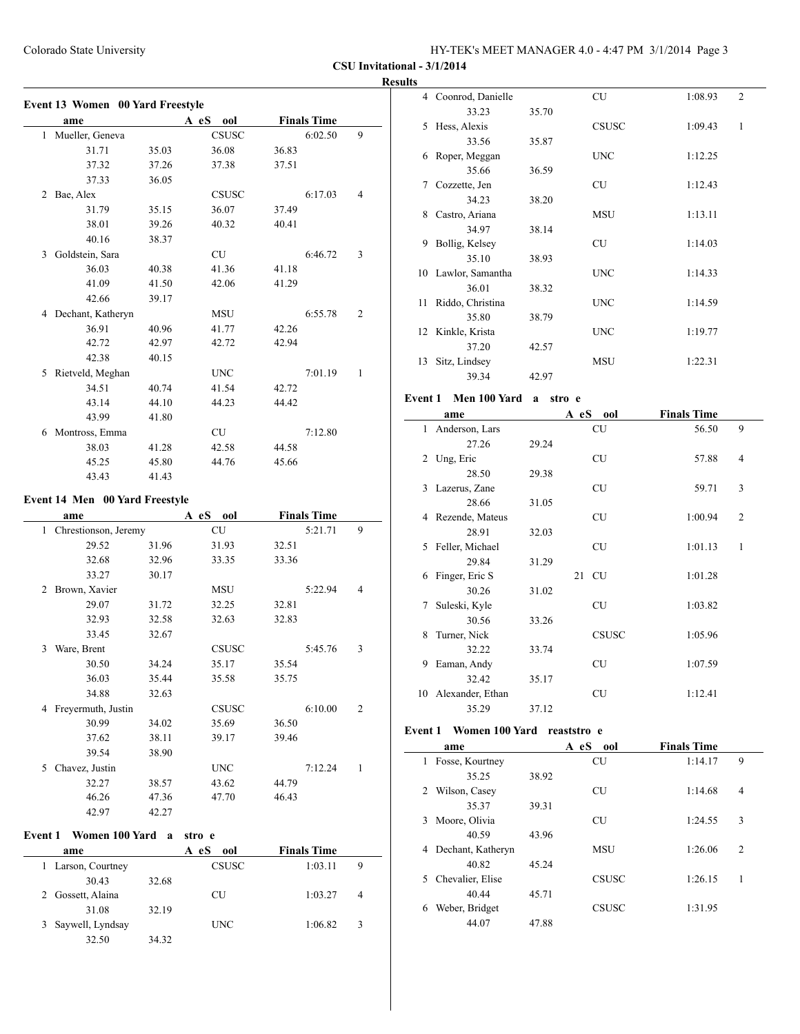4 Coonrod, Danielle CU 1:08.93 2

**CSU Invitational - 3/1/2014**

|   | Event 13 Women 00 Yard Freestyle<br>ame |       | A eS ool     |       | <b>Finals Time</b> |                |
|---|-----------------------------------------|-------|--------------|-------|--------------------|----------------|
|   | 1 Mueller, Geneva                       |       | <b>CSUSC</b> |       | 6:02.50            | 9              |
|   | 31.71                                   | 35.03 | 36.08        | 36.83 |                    |                |
|   | 37.32                                   | 37.26 | 37.38        | 37.51 |                    |                |
|   | 37.33                                   | 36.05 |              |       |                    |                |
|   | 2 Bae, Alex                             |       | CSUSC        |       | 6:17.03            | $\overline{4}$ |
|   | 31.79                                   | 35.15 | 36.07        | 37.49 |                    |                |
|   | 38.01                                   | 39.26 | 40.32        | 40.41 |                    |                |
|   | 40.16                                   | 38.37 |              |       |                    |                |
|   | 3 Goldstein, Sara                       |       | <b>CU</b>    |       | 6:46.72            | 3              |
|   | 36.03                                   | 40.38 | 41.36        | 41.18 |                    |                |
|   | 41.09                                   | 41.50 | 42.06        | 41.29 |                    |                |
|   | 42.66                                   | 39.17 |              |       |                    |                |
|   | 4 Dechant, Katheryn                     |       | MSU          |       | 6:55.78            | 2              |
|   | 36.91                                   | 40.96 | 41.77        | 42.26 |                    |                |
|   | 42.72                                   | 42.97 | 42.72        | 42.94 |                    |                |
|   | 42.38                                   | 40.15 |              |       |                    |                |
|   | 5 Rietveld, Meghan                      |       | <b>UNC</b>   |       | 7:01.19            | $\mathbf{1}$   |
|   | 34.51                                   | 40.74 | 41.54        | 42.72 |                    |                |
|   | 43.14                                   | 44.10 | 44.23        | 44.42 |                    |                |
|   | 43.99                                   | 41.80 |              |       |                    |                |
|   | 6 Montross, Emma                        |       | CU           |       | 7:12.80            |                |
|   | 38.03                                   | 41.28 | 42.58        | 44.58 |                    |                |
|   | 45.25                                   | 45.80 | 44.76        | 45.66 |                    |                |
|   | 43.43                                   | 41.43 |              |       |                    |                |
|   | <b>Event 14 Men 00 Yard Freestyle</b>   |       |              |       |                    |                |
|   | ame                                     |       | A eS ool     |       | <b>Finals Time</b> |                |
|   | 1 Chrestionson, Jeremy                  |       | <b>CU</b>    |       | 5:21.71            | 9              |
|   | 29.52                                   | 31.96 | 31.93        | 32.51 |                    |                |
|   | 32.68                                   | 32.96 | 33.35        | 33.36 |                    |                |
|   | 33.27                                   | 30.17 |              |       |                    |                |
|   | 2 Brown, Xavier                         |       | MSU          |       | 5:22.94            | 4              |
|   | 29.07                                   | 31.72 | 32.25        | 32.81 |                    |                |
|   | 32.93                                   | 32.58 | 32.63        | 32.83 |                    |                |
|   | 33.45                                   | 32.67 |              |       |                    |                |
| 3 | Ware, Brent                             |       | CSUSC        |       | 5:45.76            | 3              |
|   | 30.50                                   | 34.24 | 35.17        | 35.54 |                    |                |
|   | 36.03                                   | 35.44 | 35.58        | 35.75 |                    |                |
|   | 34.88                                   | 32.63 |              |       |                    |                |
|   | 4 Freyermuth, Justin                    |       | <b>CSUSC</b> |       | 6:10.00            | 2              |
|   | 30.99                                   | 34.02 | 35.69        | 36.50 |                    |                |

|    | 33.23               | 35.70 |              |              |
|----|---------------------|-------|--------------|--------------|
| 5  | Hess, Alexis        |       | <b>CSUSC</b> | 1<br>1:09.43 |
|    | 33.56               | 35.87 |              |              |
| 6  | Roper, Meggan       |       | <b>UNC</b>   | 1:12.25      |
|    | 35.66               | 36.59 |              |              |
| 7  | Cozzette, Jen       |       | CU           | 1:12.43      |
|    | 34.23               | 38.20 |              |              |
| 8  | Castro, Ariana      |       | <b>MSU</b>   | 1:13.11      |
|    | 34.97               | 38.14 |              |              |
| 9  | Bollig, Kelsey      |       | <b>CU</b>    | 1:14.03      |
|    | 35.10               | 38.93 |              |              |
|    | 10 Lawlor, Samantha |       | <b>UNC</b>   | 1:14.33      |
|    | 36.01               | 38.32 |              |              |
| 11 | Riddo, Christina    |       | <b>UNC</b>   | 1:14.59      |
|    | 35.80               | 38.79 |              |              |
|    | 12 Kinkle, Krista   |       | <b>UNC</b>   | 1:19.77      |
|    | 37.20               | 42.57 |              |              |
| 13 | Sitz, Lindsey       |       | <b>MSU</b>   | 1:22.31      |
|    | 39.34               | 42.97 |              |              |

## **Event 1 Men 100 Yard a stroe**

|    | ame              |       | A eS | ool          | <b>Finals Time</b> |                |
|----|------------------|-------|------|--------------|--------------------|----------------|
| 1  | Anderson, Lars   |       |      | <b>CU</b>    | 56.50              | 9              |
|    | 27.26            | 29.24 |      |              |                    |                |
| 2  | Ung, Eric        |       |      | <b>CU</b>    | 57.88              | 4              |
|    | 28.50            | 29.38 |      |              |                    |                |
| 3  | Lazerus, Zane    |       |      | CU           | 59.71              | 3              |
|    | 28.66            | 31.05 |      |              |                    |                |
| 4  | Rezende, Mateus  |       |      | <b>CU</b>    | 1:00.94            | $\overline{2}$ |
|    | 28.91            | 32.03 |      |              |                    |                |
| 5. | Feller, Michael  |       |      | <b>CU</b>    | 1:01.13            | 1              |
|    | 29.84            | 31.29 |      |              |                    |                |
| 6  | Finger, Eric S   |       |      | 21 CU        | 1:01.28            |                |
|    | 30.26            | 31.02 |      |              |                    |                |
| 7  | Suleski, Kyle    |       |      | <b>CU</b>    | 1:03.82            |                |
|    | 30.56            | 33.26 |      |              |                    |                |
| 8  | Turner, Nick     |       |      | <b>CSUSC</b> | 1:05.96            |                |
|    | 32.22            | 33.74 |      |              |                    |                |
| 9  | Eaman, Andy      |       |      | CU           | 1:07.59            |                |
|    | 32.42            | 35.17 |      |              |                    |                |
| 10 | Alexander, Ethan |       |      | <b>CU</b>    | 1:12.41            |                |
|    | 35.29            | 37.12 |      |              |                    |                |

#### Event 1 Women 100 Yard reaststro e

| ame                    |       | A eS<br>ool  | <b>Finals Time</b> |                |
|------------------------|-------|--------------|--------------------|----------------|
| Fosse, Kourtney<br>1   |       | <b>CU</b>    | 1:14.17            | 9              |
| 35.25                  | 38.92 |              |                    |                |
| Wilson, Casey<br>2     |       | CU           | 1:14.68            | $\overline{4}$ |
| 35.37                  | 39.31 |              |                    |                |
| Moore, Olivia<br>3     |       | CU           | 1:24.55            | 3              |
| 40.59                  | 43.96 |              |                    |                |
| Dechant, Katheryn<br>4 |       | <b>MSU</b>   | 1:26.06            | $\overline{c}$ |
| 40.82                  | 45.24 |              |                    |                |
| Chevalier, Elise<br>5. |       | CSUSC        | 1:26.15            | 1              |
| 40.44                  | 45.71 |              |                    |                |
| Weber, Bridget<br>6    |       | <b>CSUSC</b> | 1:31.95            |                |
| 44.07                  | 47.88 |              |                    |                |

| Event 1 Women 100 Yard a stro e |  |  |  |
|---------------------------------|--|--|--|
|                                 |  |  |  |

39.54 38.90

42.97 42.27

| ame              | A eS<br>ool  | <b>Finals Time</b> |                |
|------------------|--------------|--------------------|----------------|
| Larson, Courtney | <b>CSUSC</b> | 1:03.11            | 9              |
| 30.43<br>32.68   |              |                    |                |
| Gossett, Alaina  | CU           | 1:03.27            | $\overline{4}$ |
| 31.08<br>32.19   |              |                    |                |
| Saywell, Lyndsay | <b>UNC</b>   | 1:06.82            | 3              |
| 32.50<br>34.32   |              |                    |                |

37.62 38.11 39.17 39.46

5 Chavez, Justin UNC 7:12.24 1 32.27 38.57 43.62 44.79 46.26 47.36 47.70 46.43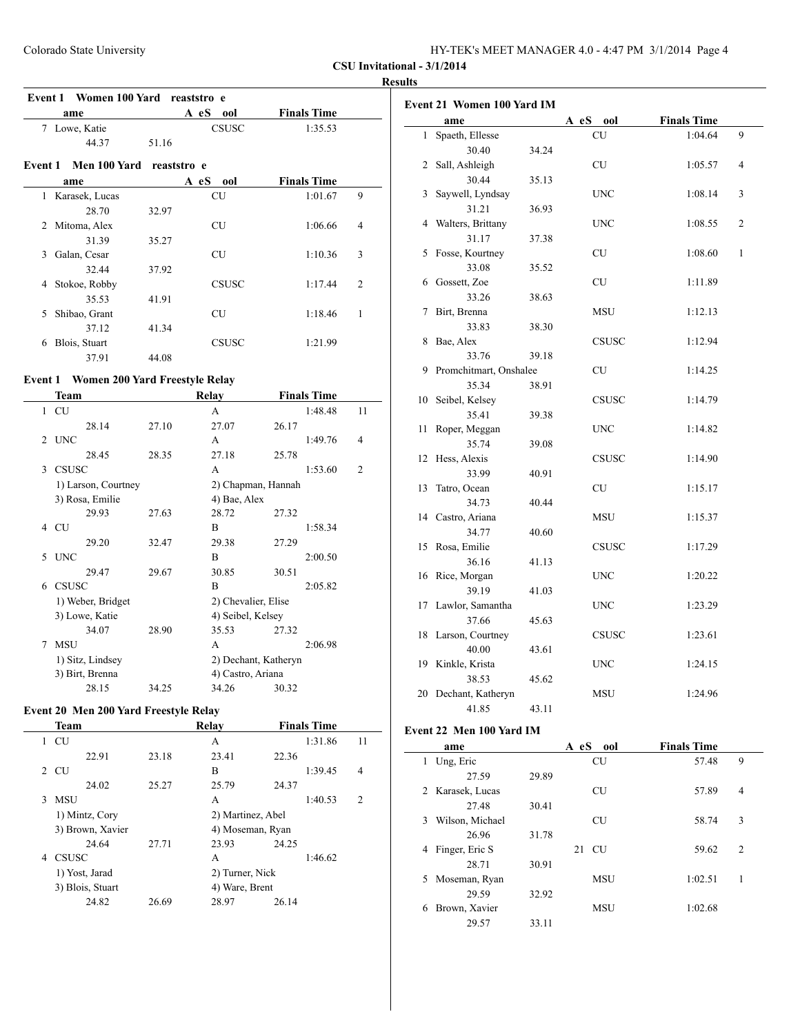| HY-TEK's MEET MANAGER 4.0 - 4:47 PM 3/1/2014 Page 4 |  |
|-----------------------------------------------------|--|
|-----------------------------------------------------|--|

#### **Results**

| Event 1 Women 100 Yard reaststro e |                |       |              |                    |                |  |
|------------------------------------|----------------|-------|--------------|--------------------|----------------|--|
|                                    | ame            |       | A eS<br>00l  | <b>Finals Time</b> |                |  |
| 7                                  | Lowe, Katie    |       | <b>CSUSC</b> | 1:35.53            |                |  |
|                                    | 44.37          | 51.16 |              |                    |                |  |
| Event 1                            | Men 100 Yard   |       | reaststro e  |                    |                |  |
|                                    | ame            |       | A eS<br>ool  | <b>Finals Time</b> |                |  |
| 1                                  | Karasek, Lucas |       | CU           | 1:01.67            | 9              |  |
|                                    | 28.70          | 32.97 |              |                    |                |  |
| 2                                  | Mitoma, Alex   |       | <b>CU</b>    | 1:06.66            | $\overline{4}$ |  |
|                                    | 31.39          | 35.27 |              |                    |                |  |
| 3                                  | Galan, Cesar   |       | <b>CU</b>    | 1:10.36            | 3              |  |
|                                    | 32.44          | 37.92 |              |                    |                |  |
| 4                                  | Stokoe, Robby  |       | <b>CSUSC</b> | 1:17.44            | $\overline{c}$ |  |
|                                    | 35.53          | 41.91 |              |                    |                |  |
| 5                                  | Shibao, Grant  |       | <b>CU</b>    | 1:18.46            | 1              |  |
|                                    | 37.12          | 41.34 |              |                    |                |  |
| 6                                  | Blois, Stuart  |       | <b>CSUSC</b> | 1:21.99            |                |  |
|                                    | 37.91          | 44.08 |              |                    |                |  |

# **Event 1 Women 200 Yard Freestyle Relay**<br>Team

|   | Team                |       | Relay                |       | <b>Finals Time</b> |                |
|---|---------------------|-------|----------------------|-------|--------------------|----------------|
| 1 | CU                  |       | A                    |       | 1:48.48            | 11             |
|   | 28.14               | 27.10 | 27.07                | 26.17 |                    |                |
| 2 | <b>UNC</b>          |       | A                    |       | 1:49.76            | 4              |
|   | 28.45               | 28.35 | 27.18                | 25.78 |                    |                |
| 3 | <b>CSUSC</b>        |       | A                    |       | 1:53.60            | $\overline{c}$ |
|   | 1) Larson, Courtney |       | 2) Chapman, Hannah   |       |                    |                |
|   | 3) Rosa, Emilie     |       | 4) Bae, Alex         |       |                    |                |
|   | 29.93               | 27.63 | 28.72                | 27.32 |                    |                |
| 4 | <b>CU</b>           |       | B                    |       | 1:58.34            |                |
|   | 29.20               | 32.47 | 29.38                | 27.29 |                    |                |
| 5 | <b>UNC</b>          |       | B                    |       | 2:00.50            |                |
|   | 29.47               | 29.67 | 30.85                | 30.51 |                    |                |
| 6 | <b>CSUSC</b>        |       | B                    |       | 2:05.82            |                |
|   | 1) Weber, Bridget   |       | 2) Chevalier, Elise  |       |                    |                |
|   | 3) Lowe, Katie      |       | 4) Seibel, Kelsey    |       |                    |                |
|   | 34.07               | 28.90 | 35.53                | 27.32 |                    |                |
| 7 | <b>MSU</b>          |       | А                    |       | 2:06.98            |                |
|   | 1) Sitz, Lindsey    |       | 2) Dechant, Katheryn |       |                    |                |
|   | 3) Birt, Brenna     |       | 4) Castro, Ariana    |       |                    |                |
|   | 28.15               | 34.25 | 34.26                | 30.32 |                    |                |

# **Event 20 Men 200 Yard Freestyle Relay**

|   | <b>Team</b>      |       | Relay             | <b>Finals Time</b> |                |
|---|------------------|-------|-------------------|--------------------|----------------|
| 1 | <b>CU</b>        |       | A                 | 1:31.86            | 11             |
|   | 22.91            | 23.18 | 23.41             | 22.36              |                |
|   | 2 CU             |       | B                 | 1:39.45            | 4              |
|   | 24.02            | 25.27 | 25.79             | 24.37              |                |
| 3 | <b>MSU</b>       |       | A                 | 1:40.53            | $\mathfrak{D}$ |
|   | 1) Mintz, Cory   |       | 2) Martinez, Abel |                    |                |
|   | 3) Brown, Xavier |       | 4) Moseman, Ryan  |                    |                |
|   | 24.64            | 27.71 | 23.93             | 24.25              |                |
| 4 | <b>CSUSC</b>     |       | A                 | 1:46.62            |                |
|   | 1) Yost, Jarad   |       | 2) Turner, Nick   |                    |                |
|   | 3) Blois, Stuart |       | 4) Ware, Brent    |                    |                |
|   | 24.82            | 26.69 | 28.97             | 26.14              |                |

|                | <b>Event 21 Women 100 Yard IM</b> |       |              |                    |   |
|----------------|-----------------------------------|-------|--------------|--------------------|---|
|                | ame                               |       | A eS ool     | <b>Finals Time</b> |   |
| 1              | Spaeth, Ellesse                   |       | CU           | 1:04.64            | 9 |
|                | 30.40                             | 34.24 |              |                    |   |
| $\overline{2}$ | Sall, Ashleigh                    |       | <b>CU</b>    | 1:05.57            | 4 |
|                | 30.44                             | 35.13 |              |                    |   |
| 3              | Saywell, Lyndsay                  |       | <b>UNC</b>   | 1:08.14            | 3 |
|                | 31.21                             | 36.93 |              |                    |   |
| 4              | Walters, Brittany                 |       | UNC          | 1:08.55            | 2 |
|                | 31.17                             | 37.38 |              |                    |   |
| 5              | Fosse, Kourtney                   |       | <b>CU</b>    | 1:08.60            | 1 |
|                | 33.08                             | 35.52 |              |                    |   |
| 6              | Gossett, Zoe                      |       | CU           | 1:11.89            |   |
|                | 33.26                             | 38.63 |              |                    |   |
| 7              | Birt, Brenna                      |       | <b>MSU</b>   | 1:12.13            |   |
|                | 33.83                             | 38.30 |              |                    |   |
| 8              | Bae, Alex                         |       | <b>CSUSC</b> | 1:12.94            |   |
|                | 33.76                             | 39.18 |              |                    |   |
| 9              | Promchitmart, Onshalee            |       | <b>CU</b>    | 1:14.25            |   |
|                | 35.34                             | 38.91 |              |                    |   |
| 10             | Seibel, Kelsey                    |       | <b>CSUSC</b> | 1:14.79            |   |
|                | 35.41                             | 39.38 |              |                    |   |
| 11             | Roper, Meggan                     |       | <b>UNC</b>   | 1:14.82            |   |
|                | 35.74                             | 39.08 |              |                    |   |
| 12             | Hess, Alexis                      |       | <b>CSUSC</b> | 1:14.90            |   |
|                | 33.99                             | 40.91 |              |                    |   |
| 13             | Tatro, Ocean                      |       | <b>CU</b>    | 1:15.17            |   |
|                | 34.73                             | 40.44 |              |                    |   |
| 14             | Castro, Ariana                    |       | MSU          | 1:15.37            |   |
|                | 34.77                             | 40.60 |              |                    |   |
| 15             | Rosa, Emilie                      |       | <b>CSUSC</b> | 1:17.29            |   |
|                | 36.16                             | 41.13 |              |                    |   |
| 16             | Rice, Morgan                      |       | <b>UNC</b>   | 1:20.22            |   |
|                | 39.19                             | 41.03 |              |                    |   |
| 17             | Lawlor, Samantha                  |       | UNC          | 1:23.29            |   |
|                | 37.66                             | 45.63 |              |                    |   |
| 18             | Larson, Courtney                  |       | <b>CSUSC</b> | 1:23.61            |   |
|                | 40.00                             | 43.61 |              |                    |   |
| 19             | Kinkle, Krista                    |       | <b>UNC</b>   | 1:24.15            |   |
|                | 38.53                             | 45.62 |              |                    |   |
| 20             | Dechant, Katheryn                 |       | MSU          | 1:24.96            |   |
|                | 41.85                             | 43.11 |              |                    |   |

#### **Event 22 Men 100 Yard IM**

| ame                  |       | A eS<br>ool     | <b>Finals Time</b> |                |
|----------------------|-------|-----------------|--------------------|----------------|
| Ung, Eric<br>1       |       | <b>CU</b>       | 57.48              | 9              |
| 27.59                | 29.89 |                 |                    |                |
| 2 Karasek, Lucas     |       | <b>CU</b>       | 57.89              | 4              |
| 27.48                | 30.41 |                 |                    |                |
| Wilson, Michael<br>3 |       | <b>CU</b>       | 58.74              | 3              |
| 26.96                | 31.78 |                 |                    |                |
| Finger, Eric S<br>4  |       | <b>CU</b><br>21 | 59.62              | $\overline{2}$ |
| 28.71                | 30.91 |                 |                    |                |
| Moseman, Ryan<br>5.  |       | <b>MSU</b>      | 1:02.51            | 1              |
| 29.59                | 32.92 |                 |                    |                |
| Brown, Xavier<br>6   |       | <b>MSU</b>      | 1:02.68            |                |
| 29.57                | 33.11 |                 |                    |                |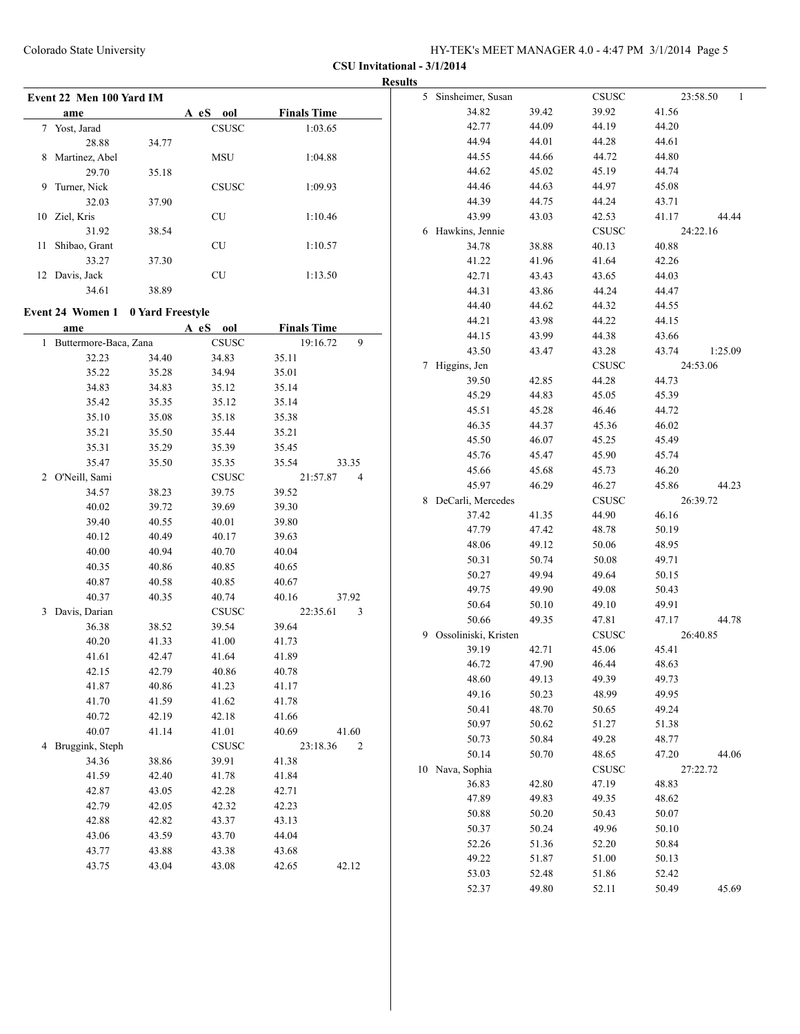|                                   |       |              |                    | <b>Results</b>         |                |                       |                |                          |
|-----------------------------------|-------|--------------|--------------------|------------------------|----------------|-----------------------|----------------|--------------------------|
| Event 22 Men 100 Yard IM          |       |              |                    | 5 Sinsheimer, Susan    |                | <b>CSUSC</b>          |                | 23:58.50<br>$\mathbf{1}$ |
| ame                               |       | A eS ool     | <b>Finals Time</b> | 34.82                  | 39.42          | 39.92                 | 41.56          |                          |
| 7 Yost, Jarad                     |       | <b>CSUSC</b> | 1:03.65            | 42.77                  | 44.09          | 44.19                 | 44.20          |                          |
| 28.88                             | 34.77 |              |                    | 44.94                  | 44.01          | 44.28                 | 44.61          |                          |
| 8 Martinez, Abel                  |       | <b>MSU</b>   | 1:04.88            | 44.55                  | 44.66          | 44.72                 | 44.80          |                          |
| 29.70                             | 35.18 |              |                    | 44.62                  | 45.02          | 45.19                 | 44.74          |                          |
| 9 Turner, Nick                    |       | CSUSC        | 1:09.93            | 44.46                  | 44.63          | 44.97                 | 45.08          |                          |
| 32.03                             | 37.90 |              |                    | 44.39                  | 44.75          | 44.24                 | 43.71          |                          |
| 10 Ziel, Kris                     |       | ${\rm CU}$   | 1:10.46            | 43.99                  | 43.03          | 42.53                 | 41.17          | 44.44                    |
| 31.92                             | 38.54 |              |                    | 6 Hawkins, Jennie      |                | <b>CSUSC</b>          |                | 24:22.16                 |
| 11 Shibao, Grant                  |       | ${\rm CU}$   | 1:10.57            | 34.78                  | 38.88          | 40.13                 | 40.88          |                          |
| 33.27                             | 37.30 |              |                    | 41.22                  | 41.96          | 41.64                 | 42.26          |                          |
| 12 Davis, Jack                    |       | ${\rm CU}$   | 1:13.50            | 42.71                  | 43.43          | 43.65                 | 44.03          |                          |
| 34.61                             | 38.89 |              |                    | 44.31                  | 43.86          | 44.24                 | 44.47          |                          |
|                                   |       |              |                    | 44.40                  | 44.62          | 44.32                 | 44.55          |                          |
| Event 24 Women 1 0 Yard Freestyle |       |              |                    | 44.21                  | 43.98          | 44.22                 | 44.15          |                          |
| ame                               |       | A eS ool     | <b>Finals Time</b> | 44.15                  | 43.99          | 44.38                 | 43.66          |                          |
| 1 Buttermore-Baca, Zana           |       | <b>CSUSC</b> | 19:16.72<br>9      | 43.50                  | 43.47          | 43.28                 | 43.74          | 1:25.09                  |
| 32.23                             | 34.40 | 34.83        | 35.11              | 7 Higgins, Jen         |                | <b>CSUSC</b>          |                | 24:53.06                 |
| 35.22                             | 35.28 | 34.94        | 35.01              | 39.50                  | 42.85          | 44.28                 | 44.73          |                          |
| 34.83                             | 34.83 | 35.12        | 35.14              | 45.29                  | 44.83          | 45.05                 | 45.39          |                          |
| 35.42                             | 35.35 | 35.12        | 35.14              | 45.51                  | 45.28          | 46.46                 | 44.72          |                          |
| 35.10                             | 35.08 | 35.18        | 35.38              | 46.35                  | 44.37          | 45.36                 | 46.02          |                          |
| 35.21                             | 35.50 | 35.44        | 35.21              | 45.50                  | 46.07          | 45.25                 | 45.49          |                          |
| 35.31                             | 35.29 | 35.39        | 35.45              | 45.76                  | 45.47          | 45.90                 | 45.74          |                          |
| 35.47                             | 35.50 | 35.35        | 35.54<br>33.35     | 45.66                  | 45.68          | 45.73                 | 46.20          |                          |
| 2 O'Neill, Sami                   |       | <b>CSUSC</b> | 21:57.87<br>4      | 45.97                  |                |                       |                |                          |
| 34.57                             | 38.23 | 39.75        | 39.52              | 8 DeCarli, Mercedes    | 46.29          | 46.27<br><b>CSUSC</b> | 45.86          | 44.23<br>26:39.72        |
| 40.02                             | 39.72 | 39.69        | 39.30              |                        |                |                       |                |                          |
| 39.40                             | 40.55 | 40.01        | 39.80              | 37.42<br>47.79         | 41.35          | 44.90<br>48.78        | 46.16          |                          |
| 40.12                             | 40.49 | 40.17        | 39.63              | 48.06                  | 47.42<br>49.12 | 50.06                 | 50.19<br>48.95 |                          |
| 40.00                             | 40.94 | 40.70        | 40.04              |                        |                |                       |                |                          |
| 40.35                             | 40.86 | 40.85        | 40.65              | 50.31                  | 50.74          | 50.08                 | 49.71          |                          |
| 40.87                             | 40.58 | 40.85        | 40.67              | 50.27                  | 49.94          | 49.64                 | 50.15          |                          |
| 40.37                             | 40.35 | 40.74        | 40.16<br>37.92     | 49.75                  | 49.90          | 49.08                 | 50.43          |                          |
| 3 Davis, Darian                   |       | <b>CSUSC</b> | 22:35.61<br>3      | 50.64                  | 50.10          | 49.10                 | 49.91          |                          |
| 36.38                             | 38.52 | 39.54        | 39.64              | 50.66                  | 49.35          | 47.81                 | 47.17          | 44.78                    |
| 40.20                             | 41.33 | 41.00        | 41.73              | 9 Ossoliniski, Kristen |                | <b>CSUSC</b>          |                | 26:40.85                 |
| 41.61                             | 42.47 | 41.64        | 41.89              | 39.19                  | 42.71          | 45.06                 | 45.41          |                          |
| 42.15                             | 42.79 | 40.86        | 40.78              | 46.72                  | 47.90          | 46.44                 | 48.63          |                          |
| 41.87                             | 40.86 | 41.23        | 41.17              | 48.60                  | 49.13          | 49.39                 | 49.73          |                          |
| 41.70                             | 41.59 | 41.62        | 41.78              | 49.16                  | 50.23          | 48.99                 | 49.95          |                          |
| 40.72                             | 42.19 | 42.18        | 41.66              | 50.41                  | 48.70          | 50.65                 | 49.24          |                          |
| 40.07                             | 41.14 | 41.01        | 40.69<br>41.60     | 50.97                  | 50.62          | 51.27                 | 51.38          |                          |
| 4 Bruggink, Steph                 |       | CSUSC        | 23:18.36<br>2      | 50.73                  | 50.84          | 49.28                 | 48.77          |                          |
| 34.36                             | 38.86 | 39.91        | 41.38              | 50.14                  | 50.70          | 48.65                 | 47.20          | 44.06                    |
| 41.59                             | 42.40 | 41.78        | 41.84              | 10 Nava, Sophia        |                | <b>CSUSC</b>          |                | 27:22.72                 |
| 42.87                             | 43.05 | 42.28        | 42.71              | 36.83                  | 42.80          | 47.19                 | 48.83          |                          |
| 42.79                             | 42.05 | 42.32        | 42.23              | 47.89                  | 49.83          | 49.35                 | 48.62          |                          |
| 42.88                             | 42.82 | 43.37        | 43.13              | 50.88                  | 50.20          | 50.43                 | 50.07          |                          |
| 43.06                             | 43.59 | 43.70        | 44.04              | 50.37                  | 50.24          | 49.96                 | 50.10          |                          |
| 43.77                             | 43.88 | 43.38        | 43.68              | 52.26                  | 51.36          | 52.20                 | 50.84          |                          |
| 43.75                             | 43.04 | 43.08        | 42.65<br>42.12     | 49.22                  | 51.87          | 51.00                 | 50.13          |                          |
|                                   |       |              |                    | 53.03                  | 52.48          | 51.86                 | 52.42          |                          |
|                                   |       |              |                    | 52.37                  | 49.80          | 52.11                 | 50.49          | 45.69                    |
|                                   |       |              |                    |                        |                |                       |                |                          |